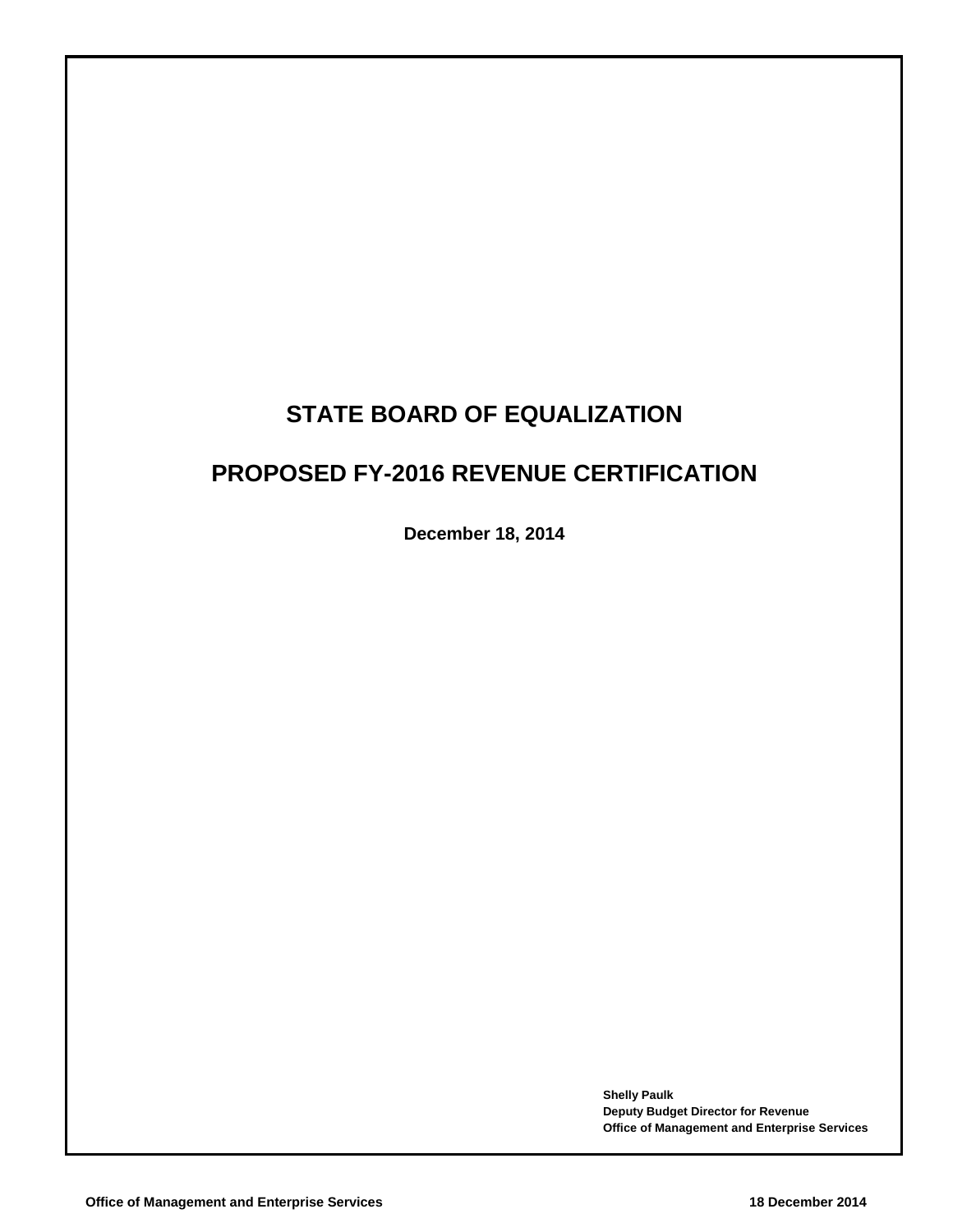# **STATE BOARD OF EQUALIZATION**

# **PROPOSED FY-2016 REVENUE CERTIFICATION**

**December 18, 2014**

**Shelly Paulk Deputy Budget Director for Revenue Office of Management and Enterprise Services**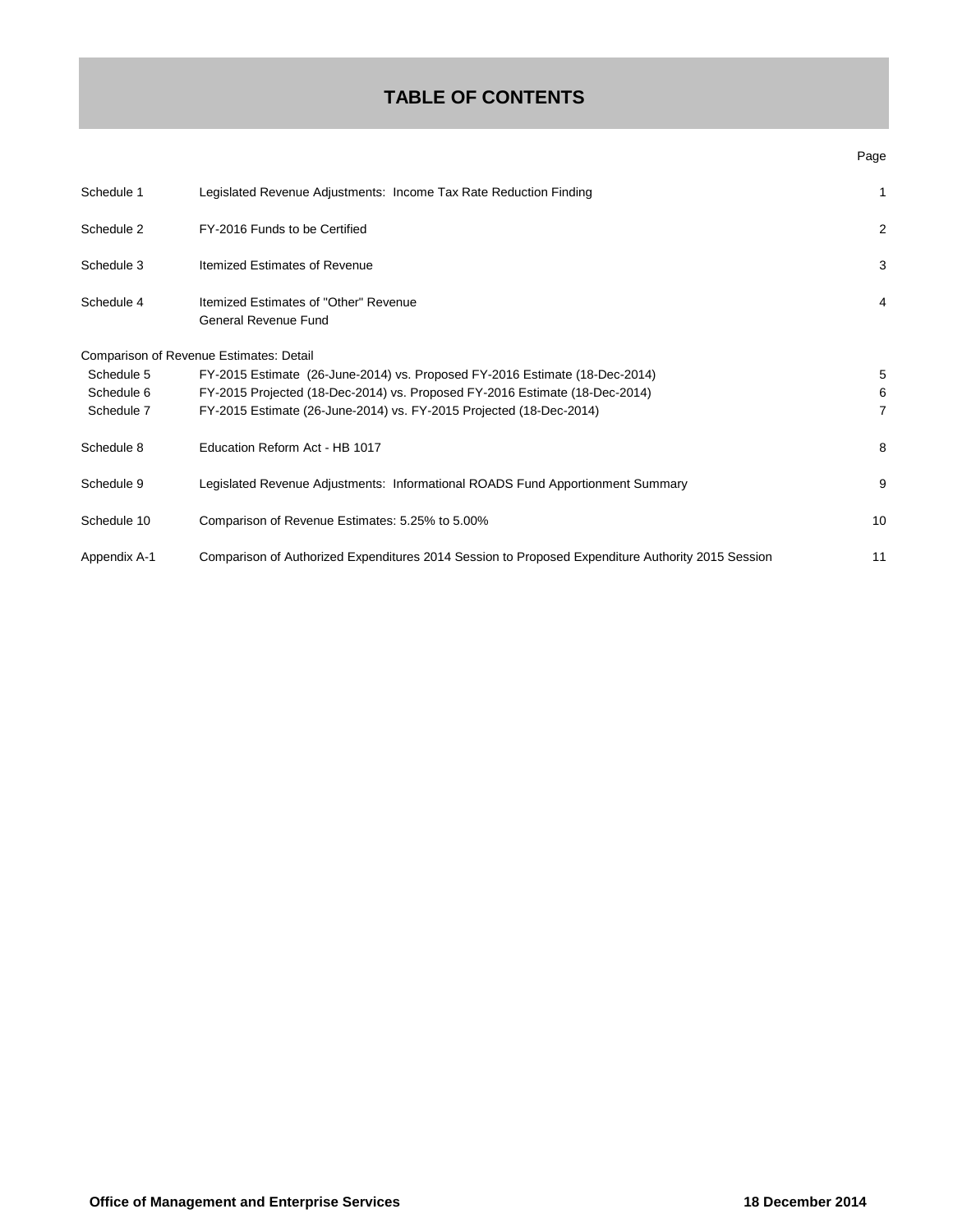## **TABLE OF CONTENTS**

| I<br>. .<br>×<br>۰,<br>×,<br>× |
|--------------------------------|
|--------------------------------|

| Schedule 1   | Legislated Revenue Adjustments: Income Tax Rate Reduction Finding                                 | 1  |
|--------------|---------------------------------------------------------------------------------------------------|----|
| Schedule 2   | FY-2016 Funds to be Certified                                                                     | 2  |
| Schedule 3   | Itemized Estimates of Revenue                                                                     | 3  |
| Schedule 4   | Itemized Estimates of "Other" Revenue<br>General Revenue Fund                                     | 4  |
|              | Comparison of Revenue Estimates: Detail                                                           |    |
| Schedule 5   | FY-2015 Estimate (26-June-2014) vs. Proposed FY-2016 Estimate (18-Dec-2014)                       | 5  |
| Schedule 6   | FY-2015 Projected (18-Dec-2014) vs. Proposed FY-2016 Estimate (18-Dec-2014)                       | 6  |
| Schedule 7   | FY-2015 Estimate (26-June-2014) vs. FY-2015 Projected (18-Dec-2014)                               | 7  |
| Schedule 8   | Education Reform Act - HB 1017                                                                    | 8  |
| Schedule 9   | Legislated Revenue Adjustments: Informational ROADS Fund Apportionment Summary                    | 9  |
| Schedule 10  | Comparison of Revenue Estimates: 5.25% to 5.00%                                                   | 10 |
| Appendix A-1 | Comparison of Authorized Expenditures 2014 Session to Proposed Expenditure Authority 2015 Session | 11 |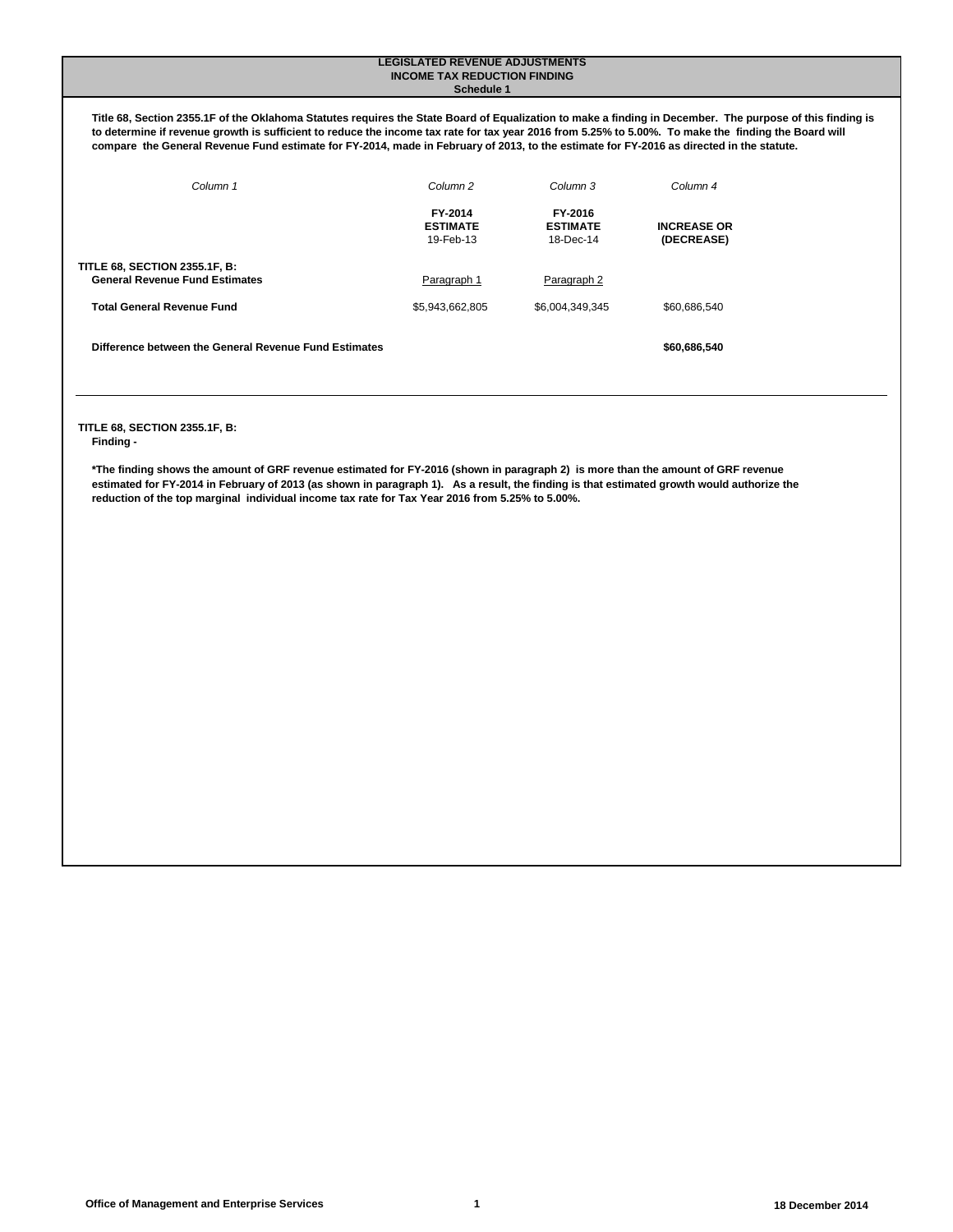#### **LEGISLATED REVENUE ADJUSTMENTS INCOME TAX REDUCTION FINDING Schedule 1**

**Title 68, Section 2355.1F of the Oklahoma Statutes requires the State Board of Equalization to make a finding in December. The purpose of this finding is to determine if revenue growth is sufficient to reduce the income tax rate for tax year 2016 from 5.25% to 5.00%. To make the finding the Board will compare the General Revenue Fund estimate for FY-2014, made in February of 2013, to the estimate for FY-2016 as directed in the statute.** 

| Column <sub>1</sub>                                                           | Column <sub>2</sub>                     | Column 3                                | Column <sub>4</sub>              |
|-------------------------------------------------------------------------------|-----------------------------------------|-----------------------------------------|----------------------------------|
|                                                                               | FY-2014<br><b>ESTIMATE</b><br>19-Feb-13 | FY-2016<br><b>ESTIMATE</b><br>18-Dec-14 | <b>INCREASE OR</b><br>(DECREASE) |
| <b>TITLE 68, SECTION 2355.1F, B:</b><br><b>General Revenue Fund Estimates</b> | Paragraph 1                             | Paragraph 2                             |                                  |
| <b>Total General Revenue Fund</b>                                             | \$5,943,662,805                         | \$6,004,349,345                         | \$60.686.540                     |
| Difference between the General Revenue Fund Estimates                         |                                         |                                         | \$60,686,540                     |

## **TITLE 68, SECTION 2355.1F, B:**

**Finding -** 

**\*The finding shows the amount of GRF revenue estimated for FY-2016 (shown in paragraph 2) is more than the amount of GRF revenue estimated for FY-2014 in February of 2013 (as shown in paragraph 1). As a result, the finding is that estimated growth would authorize the reduction of the top marginal individual income tax rate for Tax Year 2016 from 5.25% to 5.00%.**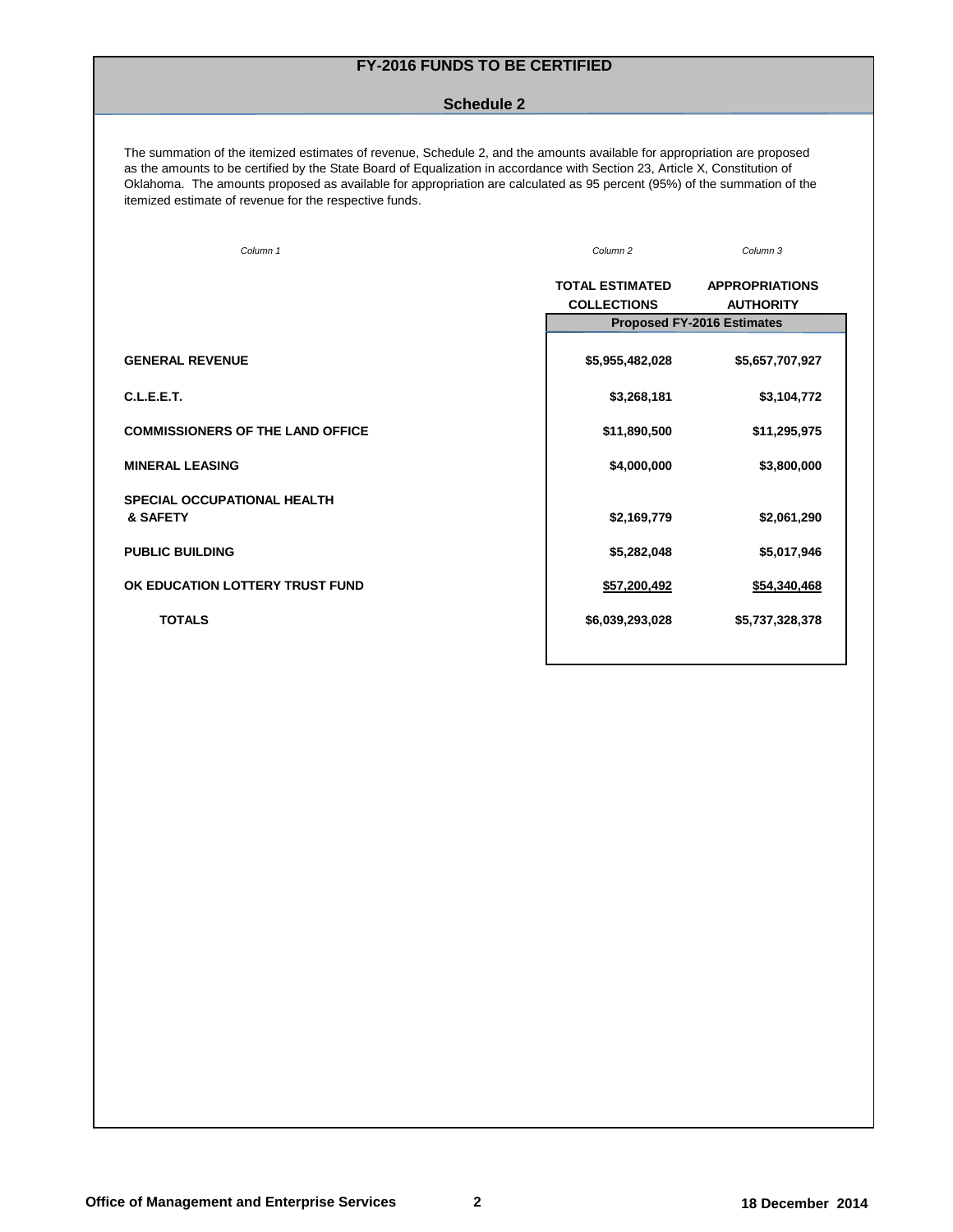## **FY-2016 FUNDS TO BE CERTIFIED**

### **Schedule 2**

The summation of the itemized estimates of revenue, Schedule 2, and the amounts available for appropriation are proposed as the amounts to be certified by the State Board of Equalization in accordance with Section 23, Article X, Constitution of Oklahoma. The amounts proposed as available for appropriation are calculated as 95 percent (95%) of the summation of the itemized estimate of revenue for the respective funds.

| Column 1                                | Column <sub>2</sub>    | Column <sub>3</sub>               |
|-----------------------------------------|------------------------|-----------------------------------|
|                                         | <b>TOTAL ESTIMATED</b> | <b>APPROPRIATIONS</b>             |
|                                         | <b>COLLECTIONS</b>     | <b>AUTHORITY</b>                  |
|                                         |                        | <b>Proposed FY-2016 Estimates</b> |
| <b>GENERAL REVENUE</b>                  | \$5,955,482,028        | \$5,657,707,927                   |
| C.L.E.E.T.                              | \$3,268,181            | \$3,104,772                       |
| <b>COMMISSIONERS OF THE LAND OFFICE</b> | \$11,890,500           | \$11,295,975                      |
| <b>MINERAL LEASING</b>                  | \$4,000,000            | \$3,800,000                       |
| SPECIAL OCCUPATIONAL HEALTH<br>& SAFETY | \$2,169,779            | \$2,061,290                       |
|                                         |                        |                                   |
| <b>PUBLIC BUILDING</b>                  | \$5,282,048            | \$5,017,946                       |
| OK EDUCATION LOTTERY TRUST FUND         | \$57,200,492           | \$54,340,468                      |
| <b>TOTALS</b>                           | \$6,039,293,028        | \$5,737,328,378                   |
|                                         |                        |                                   |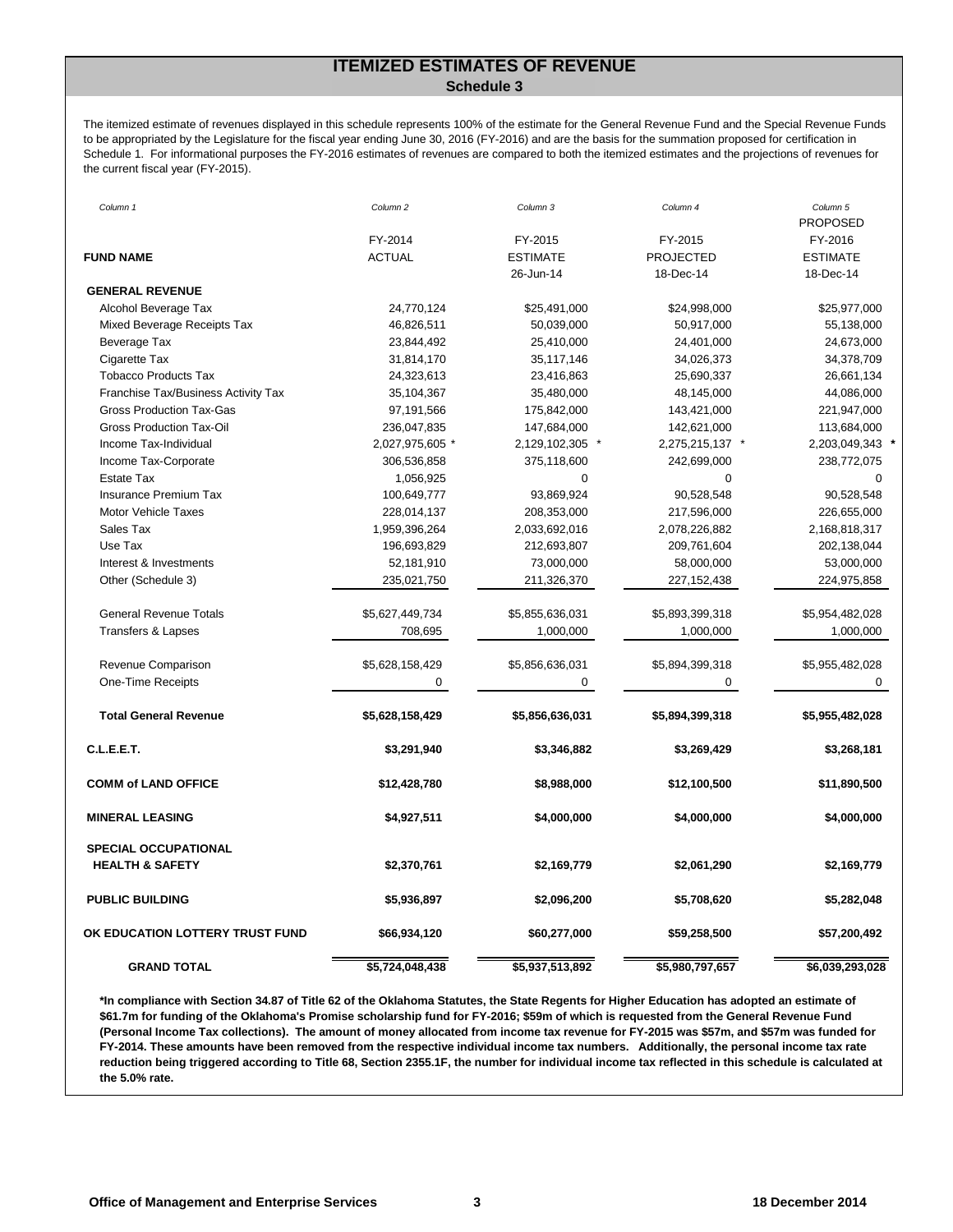## **ITEMIZED ESTIMATES OF REVENUE Schedule 3**

The itemized estimate of revenues displayed in this schedule represents 100% of the estimate for the General Revenue Fund and the Special Revenue Funds to be appropriated by the Legislature for the fiscal year ending June 30, 2016 (FY-2016) and are the basis for the summation proposed for certification in Schedule 1. For informational purposes the FY-2016 estimates of revenues are compared to both the itemized estimates and the projections of revenues for the current fiscal year (FY-2015).

| Column 1                            | Column 2        | Column 3        | Column 4         | Column 5                   |
|-------------------------------------|-----------------|-----------------|------------------|----------------------------|
|                                     | FY-2014         | FY-2015         | FY-2015          | <b>PROPOSED</b><br>FY-2016 |
| <b>FUND NAME</b>                    | <b>ACTUAL</b>   | <b>ESTIMATE</b> | <b>PROJECTED</b> | <b>ESTIMATE</b>            |
|                                     |                 | 26-Jun-14       | 18-Dec-14        | 18-Dec-14                  |
| <b>GENERAL REVENUE</b>              |                 |                 |                  |                            |
| Alcohol Beverage Tax                | 24,770,124      | \$25,491,000    | \$24,998,000     | \$25,977,000               |
| Mixed Beverage Receipts Tax         | 46,826,511      | 50,039,000      | 50,917,000       | 55,138,000                 |
| Beverage Tax                        | 23,844,492      | 25,410,000      | 24,401,000       | 24,673,000                 |
| Cigarette Tax                       | 31,814,170      | 35,117,146      | 34,026,373       | 34,378,709                 |
| <b>Tobacco Products Tax</b>         | 24,323,613      | 23,416,863      | 25,690,337       | 26,661,134                 |
| Franchise Tax/Business Activity Tax | 35,104,367      | 35,480,000      | 48,145,000       | 44,086,000                 |
| <b>Gross Production Tax-Gas</b>     | 97,191,566      | 175,842,000     | 143,421,000      | 221,947,000                |
| <b>Gross Production Tax-Oil</b>     | 236,047,835     | 147,684,000     | 142,621,000      | 113,684,000                |
| Income Tax-Individual               | 2,027,975,605 * | 2,129,102,305 * | 2,275,215,137 *  | 2,203,049,343 *            |
| Income Tax-Corporate                | 306,536,858     | 375,118,600     | 242,699,000      | 238,772,075                |
| <b>Estate Tax</b>                   | 1,056,925       | $\mathbf 0$     | 0                | $\mathbf 0$                |
| <b>Insurance Premium Tax</b>        | 100,649,777     | 93,869,924      | 90,528,548       | 90,528,548                 |
| <b>Motor Vehicle Taxes</b>          | 228,014,137     | 208,353,000     | 217,596,000      | 226,655,000                |
| Sales Tax                           | 1,959,396,264   | 2,033,692,016   | 2,078,226,882    | 2,168,818,317              |
| Use Tax                             | 196,693,829     | 212,693,807     | 209,761,604      | 202,138,044                |
| Interest & Investments              | 52,181,910      | 73,000,000      | 58,000,000       | 53,000,000                 |
| Other (Schedule 3)                  | 235,021,750     | 211,326,370     | 227, 152, 438    | 224,975,858                |
| <b>General Revenue Totals</b>       | \$5,627,449,734 | \$5,855,636,031 | \$5,893,399,318  | \$5,954,482,028            |
| <b>Transfers &amp; Lapses</b>       | 708,695         | 1,000,000       | 1,000,000        | 1,000,000                  |
| Revenue Comparison                  | \$5,628,158,429 | \$5,856,636,031 | \$5,894,399,318  | \$5,955,482,028            |
| One-Time Receipts                   | 0               | 0               | 0                | 0                          |
| <b>Total General Revenue</b>        | \$5,628,158,429 | \$5,856,636,031 | \$5,894,399,318  | \$5,955,482,028            |
| C.L.E.E.T.                          | \$3,291,940     | \$3,346,882     | \$3,269,429      | \$3,268,181                |
|                                     |                 |                 |                  |                            |
| <b>COMM of LAND OFFICE</b>          | \$12,428,780    | \$8,988,000     | \$12,100,500     | \$11,890,500               |
| <b>MINERAL LEASING</b>              | \$4,927,511     | \$4,000,000     | \$4,000,000      | \$4,000,000                |
| <b>SPECIAL OCCUPATIONAL</b>         |                 |                 |                  |                            |
| <b>HEALTH &amp; SAFETY</b>          | \$2,370,761     | \$2,169,779     | \$2,061,290      | \$2,169,779                |
| <b>PUBLIC BUILDING</b>              | \$5,936,897     | \$2,096,200     | \$5,708,620      | \$5,282,048                |
| OK EDUCATION LOTTERY TRUST FUND     | \$66,934,120    | \$60,277,000    | \$59,258,500     | \$57,200,492               |
| <b>GRAND TOTAL</b>                  | \$5,724,048,438 | \$5,937,513,892 | \$5,980,797,657  | \$6,039,293,028            |

**\*In compliance with Section 34.87 of Title 62 of the Oklahoma Statutes, the State Regents for Higher Education has adopted an estimate of \$61.7m for funding of the Oklahoma's Promise scholarship fund for FY-2016; \$59m of which is requested from the General Revenue Fund (Personal Income Tax collections). The amount of money allocated from income tax revenue for FY-2015 was \$57m, and \$57m was funded for FY-2014. These amounts have been removed from the respective individual income tax numbers. Additionally, the personal income tax rate reduction being triggered according to Title 68, Section 2355.1F, the number for individual income tax reflected in this schedule is calculated at the 5.0% rate.**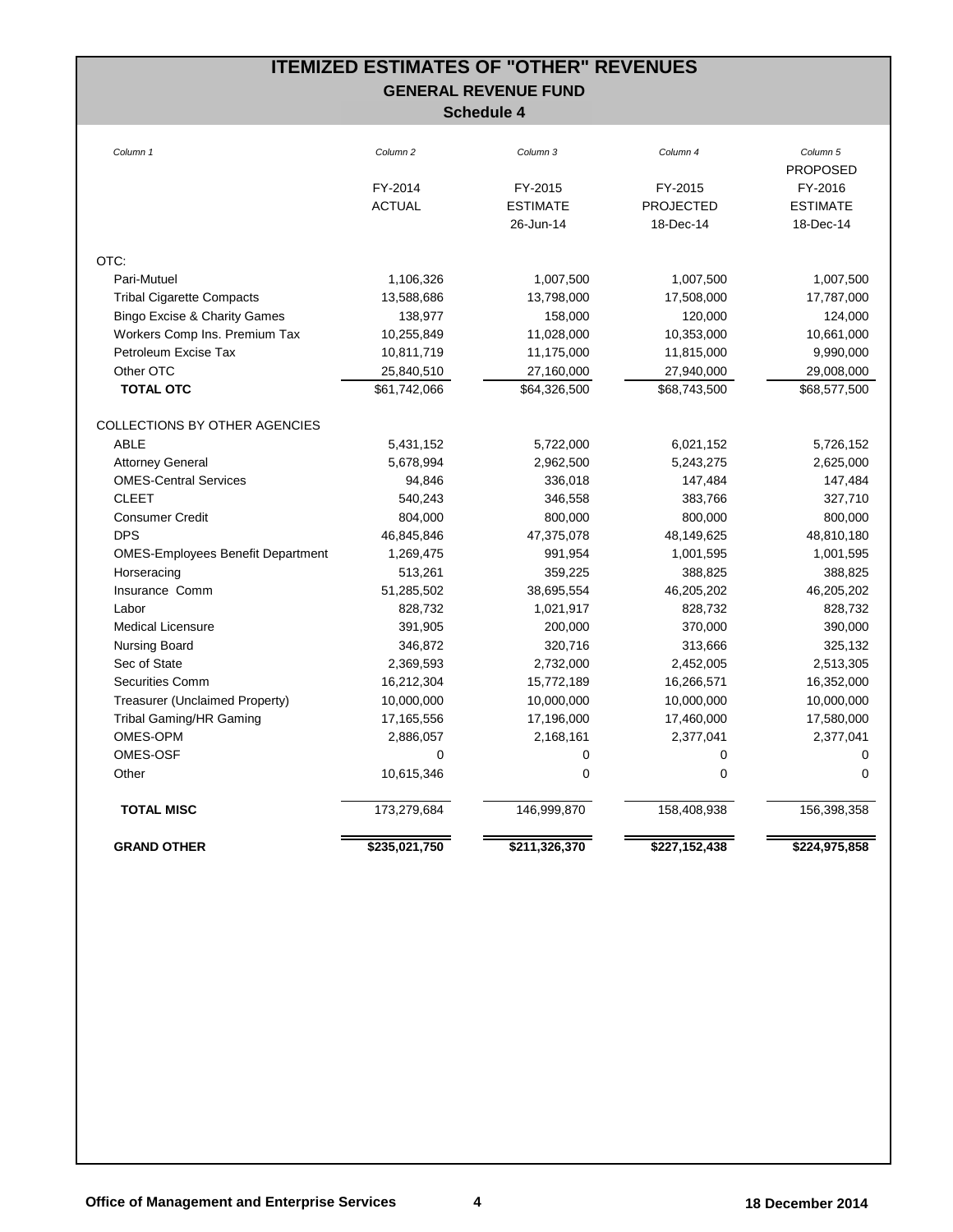# **ITEMIZED ESTIMATES OF "OTHER" REVENUES GENERAL REVENUE FUND**

| Column 1                                 | Column <sub>2</sub> | Column <sub>3</sub> | Column <sub>4</sub> | Column 5<br><b>PROPOSED</b> |
|------------------------------------------|---------------------|---------------------|---------------------|-----------------------------|
|                                          | FY-2014             | FY-2015             | FY-2015             | FY-2016                     |
|                                          | <b>ACTUAL</b>       | <b>ESTIMATE</b>     | <b>PROJECTED</b>    | <b>ESTIMATE</b>             |
|                                          |                     | 26-Jun-14           | 18-Dec-14           | 18-Dec-14                   |
|                                          |                     |                     |                     |                             |
| OTC:                                     |                     |                     |                     |                             |
| Pari-Mutuel                              | 1,106,326           | 1,007,500           | 1,007,500           | 1,007,500                   |
| <b>Tribal Cigarette Compacts</b>         | 13,588,686          | 13,798,000          | 17,508,000          | 17,787,000                  |
| <b>Bingo Excise &amp; Charity Games</b>  | 138,977             | 158,000             | 120,000             | 124,000                     |
| Workers Comp Ins. Premium Tax            | 10,255,849          | 11,028,000          | 10,353,000          | 10,661,000                  |
| Petroleum Excise Tax                     | 10,811,719          | 11,175,000          | 11,815,000          | 9,990,000                   |
| Other OTC                                | 25,840,510          | 27,160,000          | 27,940,000          | 29,008,000                  |
| <b>TOTAL OTC</b>                         | \$61,742,066        | \$64,326,500        | \$68,743,500        | \$68,577,500                |
| COLLECTIONS BY OTHER AGENCIES            |                     |                     |                     |                             |
| <b>ABLE</b>                              | 5,431,152           | 5,722,000           | 6,021,152           | 5,726,152                   |
| <b>Attorney General</b>                  | 5,678,994           | 2,962,500           | 5,243,275           | 2,625,000                   |
| <b>OMES-Central Services</b>             | 94,846              | 336,018             | 147,484             | 147,484                     |
| <b>CLEET</b>                             | 540,243             | 346,558             | 383,766             | 327,710                     |
| <b>Consumer Credit</b>                   | 804,000             | 800,000             | 800,000             | 800,000                     |
| <b>DPS</b>                               | 46,845,846          | 47,375,078          | 48,149,625          | 48,810,180                  |
| <b>OMES-Employees Benefit Department</b> | 1,269,475           | 991,954             | 1,001,595           | 1,001,595                   |
| Horseracing                              | 513,261             | 359,225             | 388,825             | 388,825                     |
| Insurance Comm                           | 51,285,502          | 38,695,554          | 46,205,202          | 46,205,202                  |
| Labor                                    | 828,732             | 1,021,917           | 828,732             | 828,732                     |
| <b>Medical Licensure</b>                 | 391,905             | 200,000             | 370,000             | 390,000                     |
| <b>Nursing Board</b>                     | 346,872             | 320,716             | 313,666             | 325,132                     |
| Sec of State                             | 2,369,593           | 2,732,000           | 2,452,005           | 2,513,305                   |
| <b>Securities Comm</b>                   | 16,212,304          | 15,772,189          | 16,266,571          | 16,352,000                  |
| Treasurer (Unclaimed Property)           | 10,000,000          | 10,000,000          | 10,000,000          | 10,000,000                  |
| Tribal Gaming/HR Gaming                  | 17,165,556          | 17,196,000          | 17,460,000          | 17,580,000                  |
| OMES-OPM                                 | 2,886,057           | 2,168,161           | 2,377,041           | 2,377,041                   |
| OMES-OSF                                 | 0                   | 0                   | 0                   | 0                           |
| Other                                    | 10,615,346          | 0                   | 0                   | 0                           |
| <b>TOTAL MISC</b>                        | 173,279,684         | 146,999,870         | 158,408,938         | 156,398,358                 |
|                                          |                     |                     |                     |                             |
| <b>GRAND OTHER</b>                       | \$235,021,750       | \$211,326,370       | \$227,152,438       | \$224,975,858               |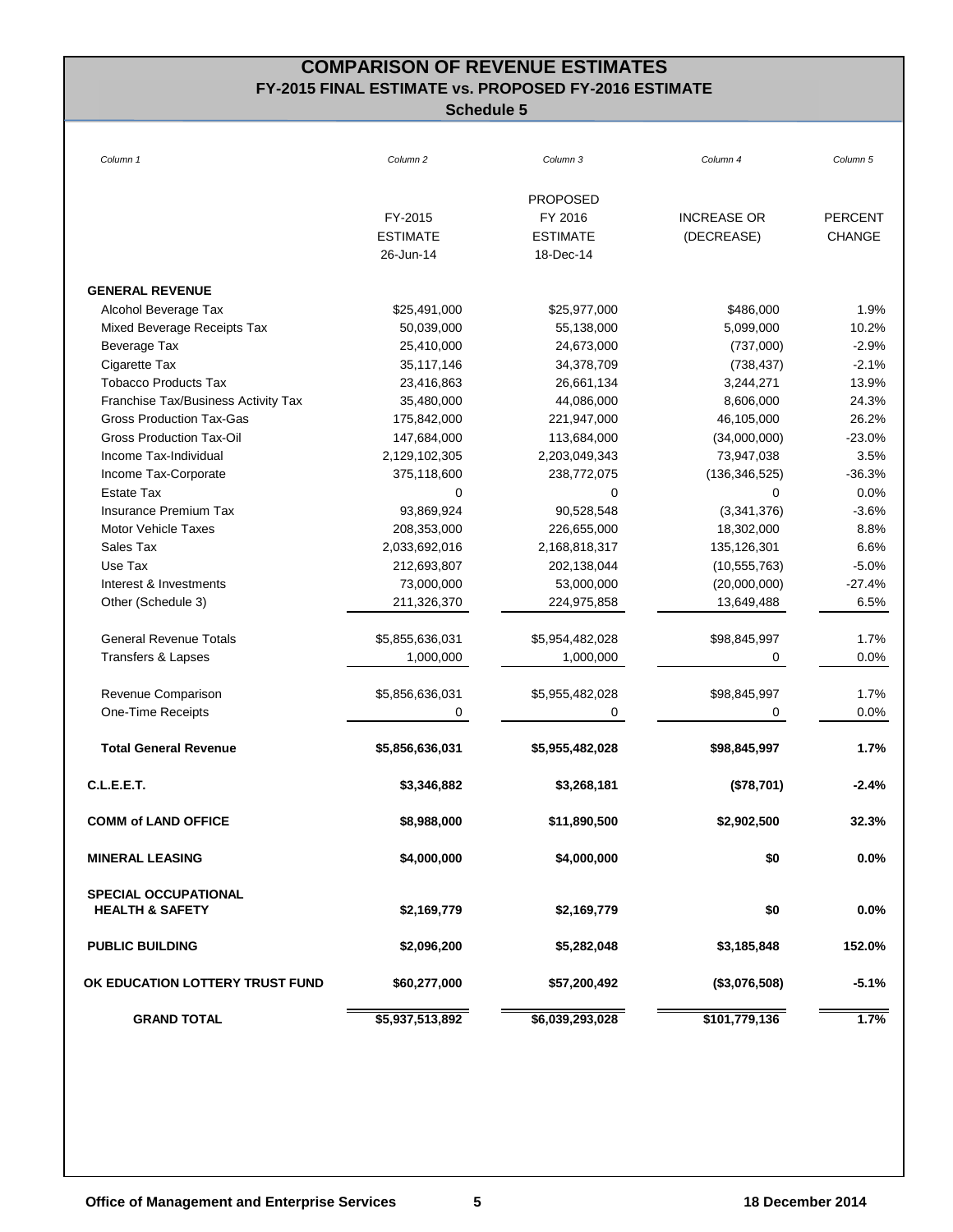# **COMPARISON OF REVENUE ESTIMATES FY-2015 FINAL ESTIMATE vs. PROPOSED FY-2016 ESTIMATE**

| Column 1                            | Column <sub>2</sub> | Column 3        | Column 4           | Column 5       |
|-------------------------------------|---------------------|-----------------|--------------------|----------------|
|                                     |                     | <b>PROPOSED</b> |                    |                |
|                                     | FY-2015             | FY 2016         | <b>INCREASE OR</b> | <b>PERCENT</b> |
|                                     | <b>ESTIMATE</b>     | <b>ESTIMATE</b> | (DECREASE)         | <b>CHANGE</b>  |
|                                     | 26-Jun-14           | 18-Dec-14       |                    |                |
| <b>GENERAL REVENUE</b>              |                     |                 |                    |                |
| Alcohol Beverage Tax                | \$25,491,000        | \$25,977,000    | \$486,000          | 1.9%           |
| Mixed Beverage Receipts Tax         | 50,039,000          | 55,138,000      | 5,099,000          | 10.2%          |
| Beverage Tax                        | 25,410,000          | 24,673,000      | (737,000)          | $-2.9%$        |
| Cigarette Tax                       | 35,117,146          | 34,378,709      | (738, 437)         | $-2.1%$        |
| <b>Tobacco Products Tax</b>         | 23,416,863          | 26,661,134      | 3,244,271          | 13.9%          |
| Franchise Tax/Business Activity Tax | 35,480,000          | 44,086,000      | 8,606,000          | 24.3%          |
| <b>Gross Production Tax-Gas</b>     | 175,842,000         | 221,947,000     | 46,105,000         | 26.2%          |
| Gross Production Tax-Oil            | 147,684,000         | 113,684,000     | (34,000,000)       | $-23.0%$       |
| Income Tax-Individual               | 2,129,102,305       | 2,203,049,343   | 73,947,038         | 3.5%           |
| Income Tax-Corporate                | 375,118,600         | 238,772,075     | (136, 346, 525)    | $-36.3%$       |
| <b>Estate Tax</b>                   | $\mathbf 0$         | $\Omega$        | $\Omega$           | 0.0%           |
| <b>Insurance Premium Tax</b>        | 93,869,924          | 90,528,548      | (3,341,376)        | $-3.6%$        |
| <b>Motor Vehicle Taxes</b>          | 208,353,000         | 226,655,000     | 18,302,000         | 8.8%           |
| Sales Tax                           | 2,033,692,016       | 2,168,818,317   | 135,126,301        | 6.6%           |
| Use Tax                             | 212,693,807         | 202,138,044     | (10, 555, 763)     | $-5.0%$        |
| Interest & Investments              | 73,000,000          | 53,000,000      | (20,000,000)       | -27.4%         |
| Other (Schedule 3)                  | 211,326,370         | 224,975,858     | 13,649,488         | 6.5%           |
| <b>General Revenue Totals</b>       | \$5,855,636,031     | \$5,954,482,028 | \$98,845,997       | 1.7%           |
| Transfers & Lapses                  | 1,000,000           | 1,000,000       | 0                  | 0.0%           |
| Revenue Comparison                  | \$5,856,636,031     | \$5,955,482,028 | \$98,845,997       | 1.7%           |
| One-Time Receipts                   | 0                   | 0               | 0                  | 0.0%           |
| <b>Total General Revenue</b>        | \$5,856,636,031     | \$5,955,482,028 | \$98,845,997       | 1.7%           |
| C.L.E.E.T.                          | \$3,346,882         | \$3,268,181     | (\$78,701)         | $-2.4%$        |
| <b>COMM of LAND OFFICE</b>          | \$8,988,000         | \$11,890,500    | \$2,902,500        | 32.3%          |
| <b>MINERAL LEASING</b>              | \$4,000,000         | \$4,000,000     | \$0                | 0.0%           |
| <b>SPECIAL OCCUPATIONAL</b>         |                     |                 |                    |                |
| <b>HEALTH &amp; SAFETY</b>          | \$2,169,779         | \$2,169,779     | \$0                | $0.0\%$        |
| <b>PUBLIC BUILDING</b>              | \$2,096,200         | \$5,282,048     | \$3,185,848        | 152.0%         |
| OK EDUCATION LOTTERY TRUST FUND     | \$60,277,000        | \$57,200,492    | (\$3,076,508)      | $-5.1%$        |
| <b>GRAND TOTAL</b>                  | \$5,937,513,892     | \$6,039,293,028 | \$101,779,136      | 1.7%           |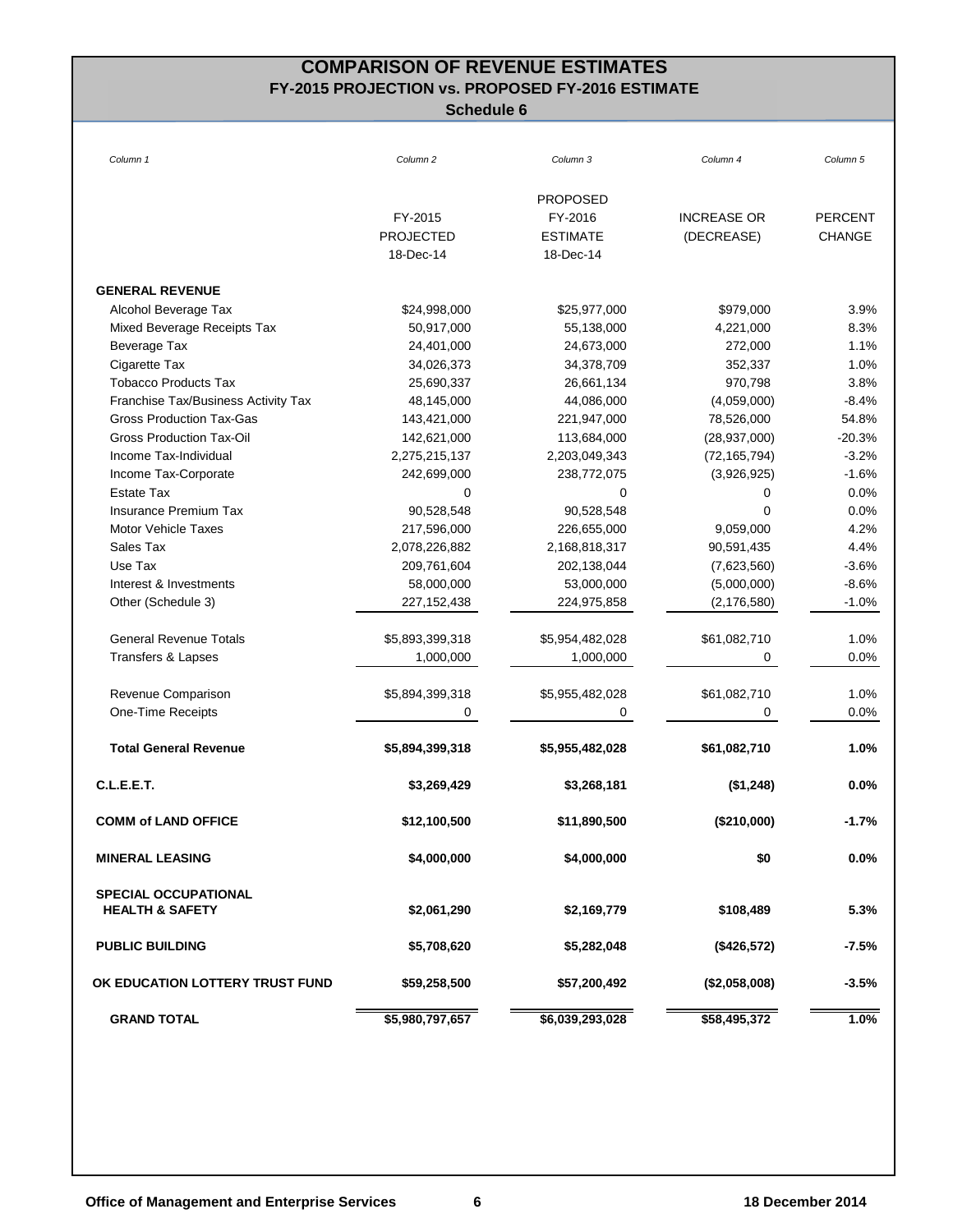# **COMPARISON OF REVENUE ESTIMATES FY-2015 PROJECTION vs. PROPOSED FY-2016 ESTIMATE**

| Column 1                            | Column <sub>2</sub> | Column 3        | Column 4           | Column 5       |
|-------------------------------------|---------------------|-----------------|--------------------|----------------|
|                                     |                     | <b>PROPOSED</b> |                    |                |
|                                     | FY-2015             | FY-2016         | <b>INCREASE OR</b> | <b>PERCENT</b> |
|                                     | <b>PROJECTED</b>    | <b>ESTIMATE</b> | (DECREASE)         | <b>CHANGE</b>  |
|                                     | 18-Dec-14           | 18-Dec-14       |                    |                |
| <b>GENERAL REVENUE</b>              |                     |                 |                    |                |
| Alcohol Beverage Tax                | \$24,998,000        | \$25,977,000    | \$979,000          | 3.9%           |
| Mixed Beverage Receipts Tax         | 50,917,000          | 55,138,000      | 4,221,000          | 8.3%           |
| Beverage Tax                        | 24,401,000          | 24,673,000      | 272,000            | 1.1%           |
| Cigarette Tax                       | 34,026,373          | 34,378,709      | 352,337            | 1.0%           |
| <b>Tobacco Products Tax</b>         | 25,690,337          | 26,661,134      | 970,798            | 3.8%           |
| Franchise Tax/Business Activity Tax | 48,145,000          | 44,086,000      | (4,059,000)        | $-8.4%$        |
| <b>Gross Production Tax-Gas</b>     | 143,421,000         | 221,947,000     | 78,526,000         | 54.8%          |
| Gross Production Tax-Oil            | 142,621,000         | 113,684,000     | (28, 937, 000)     | $-20.3%$       |
| Income Tax-Individual               | 2,275,215,137       | 2,203,049,343   | (72, 165, 794)     | $-3.2%$        |
| Income Tax-Corporate                | 242,699,000         | 238,772,075     | (3,926,925)        | $-1.6%$        |
| <b>Estate Tax</b>                   | $\mathbf 0$         | $\Omega$        | 0                  | 0.0%           |
| <b>Insurance Premium Tax</b>        | 90,528,548          | 90,528,548      | 0                  | 0.0%           |
| <b>Motor Vehicle Taxes</b>          | 217,596,000         | 226,655,000     | 9,059,000          | 4.2%           |
| Sales Tax                           | 2,078,226,882       | 2,168,818,317   | 90,591,435         | 4.4%           |
| Use Tax                             | 209,761,604         | 202,138,044     | (7,623,560)        | $-3.6%$        |
| Interest & Investments              | 58,000,000          | 53,000,000      | (5,000,000)        | $-8.6%$        |
| Other (Schedule 3)                  | 227, 152, 438       | 224,975,858     | (2, 176, 580)      | $-1.0%$        |
| <b>General Revenue Totals</b>       | \$5,893,399,318     | \$5,954,482,028 | \$61,082,710       | 1.0%           |
| Transfers & Lapses                  | 1,000,000           | 1,000,000       | 0                  | 0.0%           |
| Revenue Comparison                  | \$5,894,399,318     | \$5,955,482,028 | \$61,082,710       | 1.0%           |
| One-Time Receipts                   | 0                   | 0               | 0                  | 0.0%           |
| <b>Total General Revenue</b>        | \$5,894,399,318     | \$5,955,482,028 | \$61,082,710       | 1.0%           |
| C.L.E.E.T.                          | \$3,269,429         | \$3,268,181     | (\$1,248)          | $0.0\%$        |
| <b>COMM of LAND OFFICE</b>          | \$12,100,500        | \$11,890,500    | (\$210,000)        | $-1.7%$        |
| <b>MINERAL LEASING</b>              | \$4,000,000         | \$4,000,000     | \$0                | 0.0%           |
| <b>SPECIAL OCCUPATIONAL</b>         |                     |                 |                    |                |
| <b>HEALTH &amp; SAFETY</b>          | \$2,061,290         | \$2,169,779     | \$108,489          | 5.3%           |
| <b>PUBLIC BUILDING</b>              | \$5,708,620         | \$5,282,048     | (\$426,572)        | $-7.5%$        |
| OK EDUCATION LOTTERY TRUST FUND     | \$59,258,500        | \$57,200,492    | (\$2,058,008)      | $-3.5%$        |
| <b>GRAND TOTAL</b>                  | \$5,980,797,657     | \$6,039,293,028 | \$58,495,372       | 1.0%           |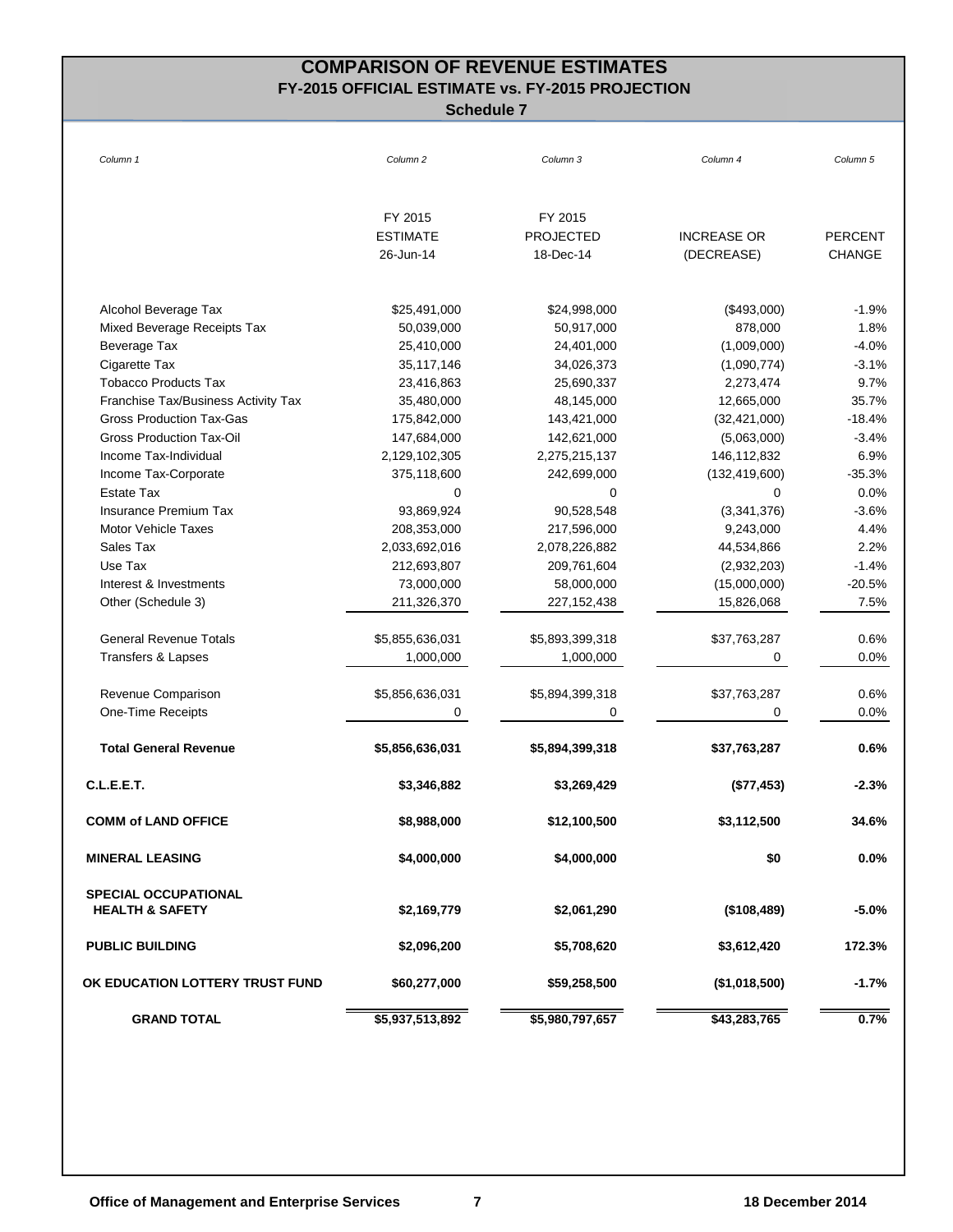## **COMPARISON OF REVENUE ESTIMATES FY-2015 OFFICIAL ESTIMATE vs. FY-2015 PROJECTION**

| Column 1                            | Column <sub>2</sub> | Column 3         | Column 4           | Column 5       |
|-------------------------------------|---------------------|------------------|--------------------|----------------|
|                                     |                     |                  |                    |                |
|                                     | FY 2015             | FY 2015          |                    |                |
|                                     | <b>ESTIMATE</b>     | <b>PROJECTED</b> | <b>INCREASE OR</b> | <b>PERCENT</b> |
|                                     | 26-Jun-14           | 18-Dec-14        | (DECREASE)         | <b>CHANGE</b>  |
| Alcohol Beverage Tax                | \$25,491,000        | \$24,998,000     | (\$493,000)        | $-1.9%$        |
| Mixed Beverage Receipts Tax         | 50,039,000          | 50,917,000       | 878,000            | 1.8%           |
| Beverage Tax                        | 25,410,000          | 24,401,000       | (1,009,000)        | $-4.0%$        |
| Cigarette Tax                       | 35,117,146          | 34,026,373       | (1,090,774)        | $-3.1%$        |
| <b>Tobacco Products Tax</b>         | 23,416,863          | 25,690,337       | 2,273,474          | 9.7%           |
| Franchise Tax/Business Activity Tax | 35,480,000          | 48,145,000       | 12,665,000         | 35.7%          |
| <b>Gross Production Tax-Gas</b>     | 175,842,000         | 143,421,000      | (32, 421, 000)     | $-18.4%$       |
| <b>Gross Production Tax-Oil</b>     | 147,684,000         | 142,621,000      | (5,063,000)        | $-3.4%$        |
| Income Tax-Individual               | 2,129,102,305       | 2,275,215,137    | 146,112,832        | 6.9%           |
| Income Tax-Corporate                | 375,118,600         | 242,699,000      | (132, 419, 600)    | $-35.3%$       |
| <b>Estate Tax</b>                   | 0                   | 0                | $\Omega$           | 0.0%           |
| <b>Insurance Premium Tax</b>        | 93,869,924          | 90,528,548       | (3,341,376)        | $-3.6%$        |
| <b>Motor Vehicle Taxes</b>          | 208,353,000         | 217,596,000      | 9,243,000          | 4.4%           |
| Sales Tax                           | 2,033,692,016       | 2,078,226,882    | 44,534,866         | 2.2%           |
| Use Tax                             | 212,693,807         | 209,761,604      | (2,932,203)        | $-1.4%$        |
| Interest & Investments              | 73,000,000          | 58,000,000       | (15,000,000)       | $-20.5%$       |
| Other (Schedule 3)                  | 211,326,370         | 227, 152, 438    | 15,826,068         | 7.5%           |
| <b>General Revenue Totals</b>       | \$5,855,636,031     | \$5,893,399,318  | \$37,763,287       | 0.6%           |
| <b>Transfers &amp; Lapses</b>       | 1,000,000           | 1,000,000        | 0                  | $0.0\%$        |
| Revenue Comparison                  | \$5,856,636,031     | \$5,894,399,318  | \$37,763,287       | 0.6%           |
| One-Time Receipts                   | 0                   | 0                | 0                  | 0.0%           |
| <b>Total General Revenue</b>        | \$5,856,636,031     | \$5,894,399,318  | \$37,763,287       | 0.6%           |
| C.L.E.E.T.                          | \$3,346,882         | \$3,269,429      | (\$77,453)         | $-2.3%$        |
| <b>COMM of LAND OFFICE</b>          | \$8,988,000         | \$12,100,500     | \$3,112,500        | 34.6%          |
| <b>MINERAL LEASING</b>              | \$4,000,000         | \$4,000,000      | \$0                | 0.0%           |
| <b>SPECIAL OCCUPATIONAL</b>         |                     |                  |                    |                |
| <b>HEALTH &amp; SAFETY</b>          | \$2,169,779         | \$2,061,290      | (\$108,489)        | $-5.0\%$       |
| <b>PUBLIC BUILDING</b>              | \$2,096,200         | \$5,708,620      | \$3,612,420        | 172.3%         |
| OK EDUCATION LOTTERY TRUST FUND     | \$60,277,000        | \$59,258,500     | (\$1,018,500)      | $-1.7%$        |
| <b>GRAND TOTAL</b>                  | \$5,937,513,892     | \$5,980,797,657  | \$43,283,765       | 0.7%           |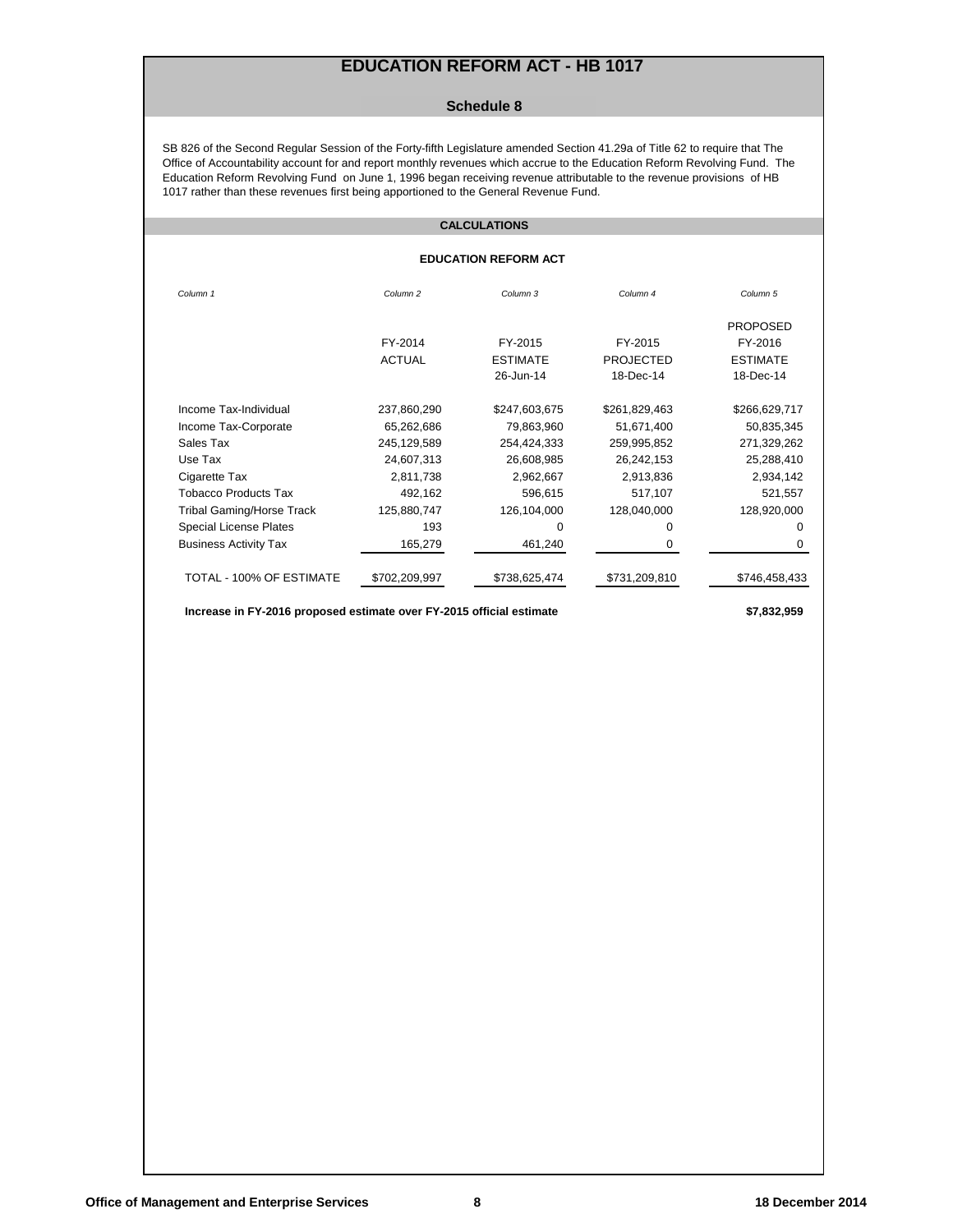## **EDUCATION REFORM ACT - HB 1017**

#### **Schedule 8**

SB 826 of the Second Regular Session of the Forty-fifth Legislature amended Section 41.29a of Title 62 to require that The Office of Accountability account for and report monthly revenues which accrue to the Education Reform Revolving Fund. The Education Reform Revolving Fund on June 1, 1996 began receiving revenue attributable to the revenue provisions of HB 1017 rather than these revenues first being apportioned to the General Revenue Fund.

#### **CALCULATIONS**

#### **EDUCATION REFORM ACT**

| Column <sub>1</sub>           | Column <sub>2</sub> | Column 3        | Column <sub>4</sub> | Column <sub>5</sub> |
|-------------------------------|---------------------|-----------------|---------------------|---------------------|
|                               |                     |                 |                     | <b>PROPOSED</b>     |
|                               | FY-2014             | FY-2015         | FY-2015             | FY-2016             |
|                               | <b>ACTUAL</b>       | <b>ESTIMATE</b> | <b>PROJECTED</b>    | <b>ESTIMATE</b>     |
|                               |                     | 26-Jun-14       | 18-Dec-14           | 18-Dec-14           |
| Income Tax-Individual         | 237,860,290         | \$247,603,675   | \$261,829,463       | \$266,629,717       |
| Income Tax-Corporate          | 65,262,686          | 79,863,960      | 51,671,400          | 50,835,345          |
| Sales Tax                     | 245,129,589         | 254,424,333     | 259,995,852         | 271,329,262         |
| Use Tax                       | 24,607,313          | 26,608,985      | 26,242,153          | 25,288,410          |
| Cigarette Tax                 | 2,811,738           | 2,962,667       | 2,913,836           | 2,934,142           |
| Tobacco Products Tax          | 492,162             | 596,615         | 517,107             | 521,557             |
| Tribal Gaming/Horse Track     | 125,880,747         | 126,104,000     | 128,040,000         | 128,920,000         |
| <b>Special License Plates</b> | 193                 | $\Omega$        | 0                   | $\Omega$            |
| <b>Business Activity Tax</b>  | 165,279             | 461,240         | 0                   | 0                   |
| TOTAL - 100% OF ESTIMATE      | \$702.209.997       | \$738,625,474   | \$731.209.810       | \$746,458,433       |

 **Increase in FY-2016 proposed estimate over FY-2015 official estimate \$7,832,959**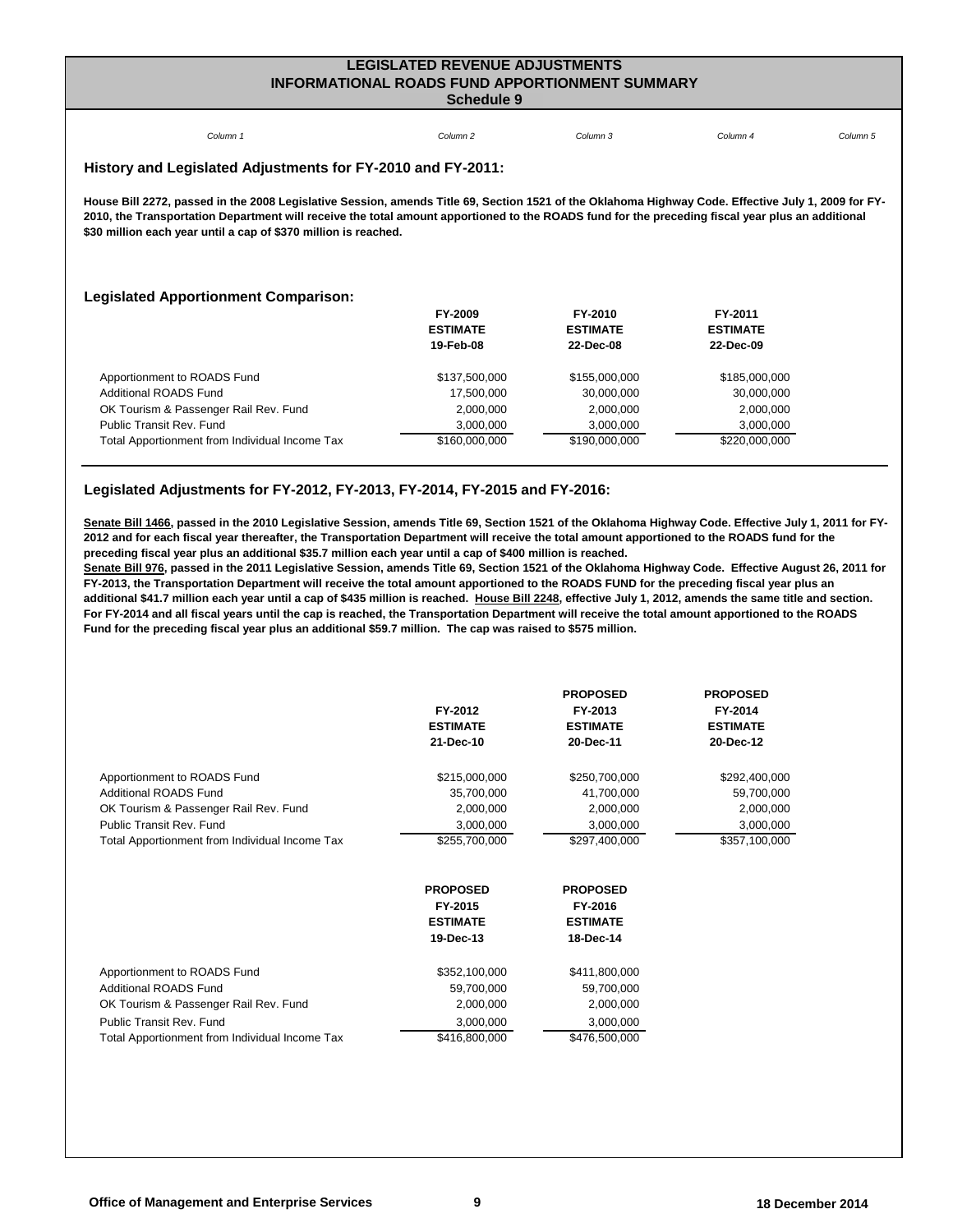### **LEGISLATED REVENUE ADJUSTMENTS INFORMATIONAL ROADS FUND APPORTIONMENT SUMMARY Schedule 9**

| Column <sub>1</sub>                                                                                                                                                                                                                                                                                                                                                        | Column <sub>2</sub> | Column 3        | Column <sub>4</sub> | Column <sub>5</sub> |  |  |  |
|----------------------------------------------------------------------------------------------------------------------------------------------------------------------------------------------------------------------------------------------------------------------------------------------------------------------------------------------------------------------------|---------------------|-----------------|---------------------|---------------------|--|--|--|
| History and Legislated Adjustments for FY-2010 and FY-2011:                                                                                                                                                                                                                                                                                                                |                     |                 |                     |                     |  |  |  |
| House Bill 2272, passed in the 2008 Legislative Session, amends Title 69, Section 1521 of the Oklahoma Highway Code. Effective July 1, 2009 for FY-<br>2010, the Transportation Department will receive the total amount apportioned to the ROADS fund for the preceding fiscal year plus an additional<br>\$30 million each year until a cap of \$370 million is reached. |                     |                 |                     |                     |  |  |  |
| <b>Legislated Apportionment Comparison:</b>                                                                                                                                                                                                                                                                                                                                |                     |                 |                     |                     |  |  |  |
|                                                                                                                                                                                                                                                                                                                                                                            | <b>FY-2009</b>      | FY-2010         | FY-2011             |                     |  |  |  |
|                                                                                                                                                                                                                                                                                                                                                                            | <b>ESTIMATE</b>     | <b>ESTIMATE</b> | <b>ESTIMATE</b>     |                     |  |  |  |
|                                                                                                                                                                                                                                                                                                                                                                            | 19-Feb-08           | 22-Dec-08       | 22-Dec-09           |                     |  |  |  |
| Apportionment to ROADS Fund                                                                                                                                                                                                                                                                                                                                                | \$137,500,000       | \$155,000,000   | \$185,000,000       |                     |  |  |  |
| <b>Additional ROADS Fund</b>                                                                                                                                                                                                                                                                                                                                               | 17,500,000          | 30,000,000      | 30,000,000          |                     |  |  |  |
| OK Tourism & Passenger Rail Rev. Fund                                                                                                                                                                                                                                                                                                                                      | 2,000,000           | 2,000,000       | 2,000,000           |                     |  |  |  |
| Public Transit Rev. Fund                                                                                                                                                                                                                                                                                                                                                   | 3,000,000           | 3,000,000       | 3,000,000           |                     |  |  |  |
| Total Apportionment from Individual Income Tax                                                                                                                                                                                                                                                                                                                             | \$160,000,000       | \$190,000,000   | \$220,000,000       |                     |  |  |  |

### **Legislated Adjustments for FY-2012, FY-2013, FY-2014, FY-2015 and FY-2016:**

**Senate Bill 1466, passed in the 2010 Legislative Session, amends Title 69, Section 1521 of the Oklahoma Highway Code. Effective July 1, 2011 for FY-2012 and for each fiscal year thereafter, the Transportation Department will receive the total amount apportioned to the ROADS fund for the preceding fiscal year plus an additional \$35.7 million each year until a cap of \$400 million is reached.** 

Senate Bill 976, passed in the 2011 Legislative Session, amends Title 69, Section 1521 of the Oklahoma Highway Code. Effective August 26, 2011 for **FY-2013, the Transportation Department will receive the total amount apportioned to the ROADS FUND for the preceding fiscal year plus an additional \$41.7 million each year until a cap of \$435 million is reached. House Bill 2248, effective July 1, 2012, amends the same title and section. For FY-2014 and all fiscal years until the cap is reached, the Transportation Department will receive the total amount apportioned to the ROADS Fund for the preceding fiscal year plus an additional \$59.7 million. The cap was raised to \$575 million.**

|                                                | FY-2012<br><b>ESTIMATE</b><br>21-Dec-10                    | <b>PROPOSED</b><br>FY-2013<br><b>ESTIMATE</b><br>20-Dec-11 | <b>PROPOSED</b><br>FY-2014<br><b>ESTIMATE</b><br>20-Dec-12 |
|------------------------------------------------|------------------------------------------------------------|------------------------------------------------------------|------------------------------------------------------------|
| Apportionment to ROADS Fund                    | \$215,000,000                                              | \$250,700,000                                              | \$292,400,000                                              |
| <b>Additional ROADS Fund</b>                   | 35,700,000                                                 | 41,700,000                                                 | 59,700,000                                                 |
| OK Tourism & Passenger Rail Rev. Fund          | 2,000,000                                                  | 2,000,000                                                  | 2,000,000                                                  |
| Public Transit Rev. Fund                       | 3,000,000                                                  | 3,000,000                                                  | 3,000,000                                                  |
| Total Apportionment from Individual Income Tax | \$255,700,000                                              | \$297,400,000                                              | \$357,100,000                                              |
|                                                | <b>PROPOSED</b><br>FY-2015<br><b>ESTIMATE</b><br>19-Dec-13 | <b>PROPOSED</b><br>FY-2016<br><b>ESTIMATE</b><br>18-Dec-14 |                                                            |
| Apportionment to ROADS Fund                    | \$352,100,000                                              | \$411,800,000                                              |                                                            |
| Additional ROADS Fund                          | 59,700,000                                                 | 59,700,000                                                 |                                                            |
| OK Tourism & Passenger Rail Rev. Fund          | 2,000,000                                                  | 2,000,000                                                  |                                                            |
| Public Transit Rev. Fund                       | 3,000,000                                                  | 3,000,000                                                  |                                                            |
| Total Apportionment from Individual Income Tax | \$416,800,000                                              | \$476,500,000                                              |                                                            |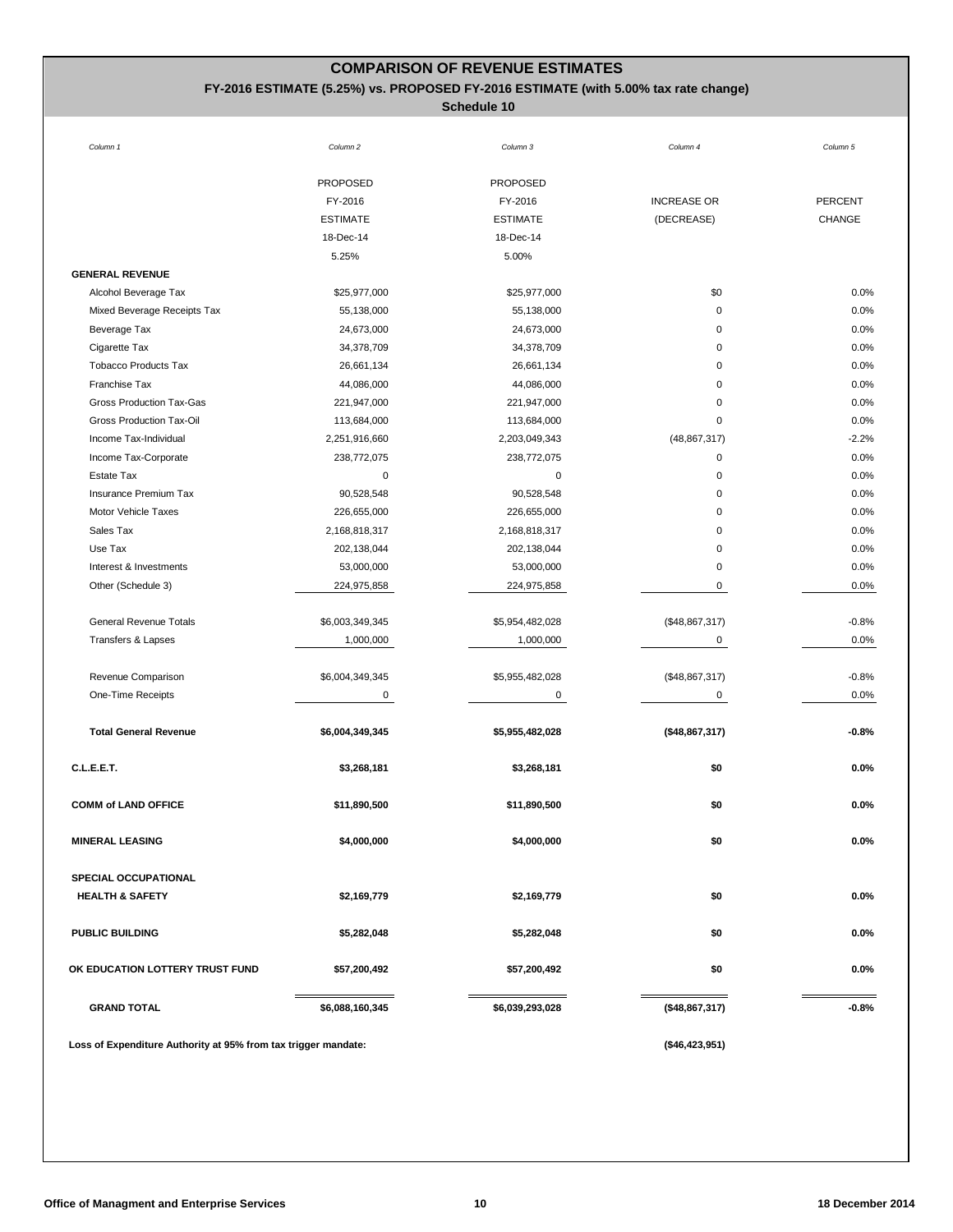## **COMPARISON OF REVENUE ESTIMATES**

### **FY-2016 ESTIMATE (5.25%) vs. PROPOSED FY-2016 ESTIMATE (with 5.00% tax rate change)**

| Column 1                                                       | Column <sub>2</sub> | Column 3        | Column 4           | Column 5       |
|----------------------------------------------------------------|---------------------|-----------------|--------------------|----------------|
|                                                                | <b>PROPOSED</b>     | <b>PROPOSED</b> |                    |                |
|                                                                | FY-2016             | FY-2016         | <b>INCREASE OR</b> | <b>PERCENT</b> |
|                                                                | <b>ESTIMATE</b>     | <b>ESTIMATE</b> | (DECREASE)         | <b>CHANGE</b>  |
|                                                                | 18-Dec-14           | 18-Dec-14       |                    |                |
|                                                                | 5.25%               | 5.00%           |                    |                |
| <b>GENERAL REVENUE</b>                                         |                     |                 |                    |                |
| Alcohol Beverage Tax                                           | \$25,977,000        | \$25,977,000    | \$0                | 0.0%           |
| Mixed Beverage Receipts Tax                                    | 55,138,000          | 55,138,000      | $\mathbf 0$        | 0.0%           |
| Beverage Tax                                                   | 24,673,000          | 24,673,000      | 0                  | 0.0%           |
| Cigarette Tax                                                  | 34,378,709          | 34,378,709      | 0                  | 0.0%           |
| <b>Tobacco Products Tax</b>                                    | 26,661,134          | 26,661,134      | 0                  | 0.0%           |
| Franchise Tax                                                  | 44,086,000          | 44,086,000      | 0                  | 0.0%           |
| Gross Production Tax-Gas                                       | 221,947,000         | 221,947,000     | 0                  | 0.0%           |
| Gross Production Tax-Oil                                       | 113,684,000         | 113,684,000     | 0                  | 0.0%           |
| Income Tax-Individual                                          | 2,251,916,660       | 2,203,049,343   | (48, 867, 317)     | $-2.2%$        |
| Income Tax-Corporate                                           | 238,772,075         | 238,772,075     | $\mathbf 0$        | 0.0%           |
| Estate Tax                                                     | 0                   | 0               | 0                  | 0.0%           |
| Insurance Premium Tax                                          | 90,528,548          | 90,528,548      | $\mathbf 0$        | 0.0%           |
| Motor Vehicle Taxes                                            | 226,655,000         | 226,655,000     | $\mathbf 0$        | 0.0%           |
| Sales Tax                                                      | 2,168,818,317       | 2,168,818,317   | 0                  | 0.0%           |
| Use Tax                                                        | 202,138,044         | 202,138,044     | 0                  | 0.0%           |
| Interest & Investments                                         | 53,000,000          | 53,000,000      | 0                  | 0.0%           |
| Other (Schedule 3)                                             | 224,975,858         | 224,975,858     | 0                  | 0.0%           |
|                                                                |                     |                 |                    |                |
| <b>General Revenue Totals</b>                                  | \$6,003,349,345     | \$5,954,482,028 | (\$48,867,317)     | $-0.8%$        |
| Transfers & Lapses                                             | 1,000,000           | 1,000,000       | 0                  | 0.0%           |
| Revenue Comparison                                             | \$6,004,349,345     | \$5,955,482,028 | (\$48,867,317)     | $-0.8%$        |
| One-Time Receipts                                              | 0                   | 0               | 0                  | 0.0%           |
|                                                                |                     |                 |                    |                |
| <b>Total General Revenue</b>                                   | \$6,004,349,345     | \$5,955,482,028 | (\$48,867,317)     | $-0.8%$        |
| C.L.E.E.T.                                                     | \$3,268,181         | \$3,268,181     | \$0                | 0.0%           |
| <b>COMM of LAND OFFICE</b>                                     | \$11,890,500        | \$11,890,500    | \$0                | 0.0%           |
| <b>MINERAL LEASING</b>                                         | \$4,000,000         | \$4,000,000     | \$0                | $0.0\%$        |
| SPECIAL OCCUPATIONAL                                           |                     |                 |                    |                |
| <b>HEALTH &amp; SAFETY</b>                                     | \$2,169,779         | \$2,169,779     | \$0                | $0.0\%$        |
|                                                                |                     |                 |                    |                |
| <b>PUBLIC BUILDING</b>                                         | \$5,282,048         | \$5,282,048     | \$0                | $0.0\%$        |
| OK EDUCATION LOTTERY TRUST FUND                                | \$57,200,492        | \$57,200,492    | \$0                | $0.0\%$        |
| <b>GRAND TOTAL</b>                                             | \$6,088,160,345     | \$6,039,293,028 | (\$48,867,317)     | $-0.8%$        |
| Loss of Expenditure Authority at 95% from tax trigger mandate: |                     |                 | $(*46,423,951)$    |                |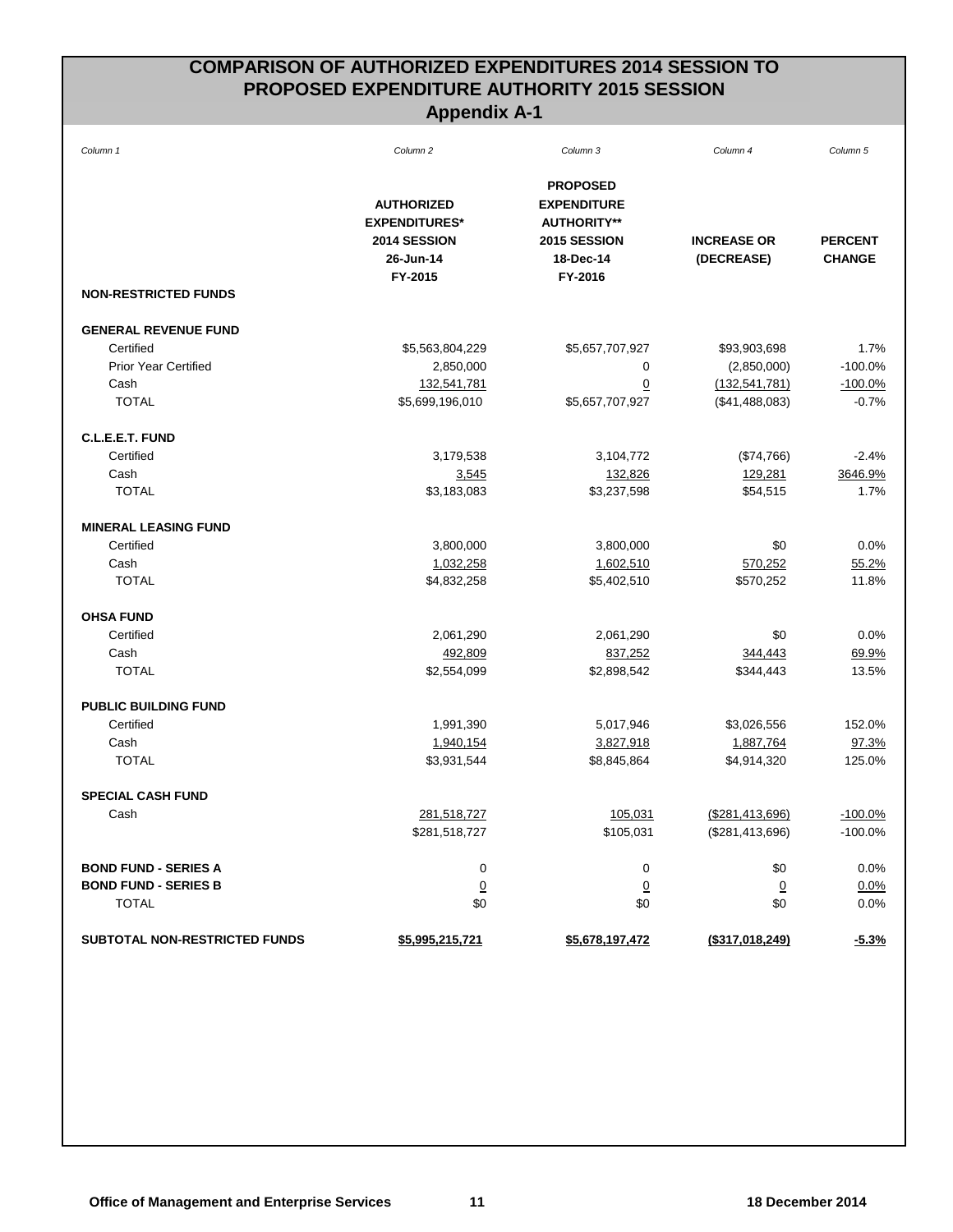## **COMPARISON OF AUTHORIZED EXPENDITURES 2014 SESSION TO PROPOSED EXPENDITURE AUTHORITY 2015 SESSION Appendix A-1**

| Column 1                      | Column <sub>2</sub>                                                               | Column 3                                                                                            | Column 4                         | Column 5                        |
|-------------------------------|-----------------------------------------------------------------------------------|-----------------------------------------------------------------------------------------------------|----------------------------------|---------------------------------|
|                               | <b>AUTHORIZED</b><br><b>EXPENDITURES*</b><br>2014 SESSION<br>26-Jun-14<br>FY-2015 | <b>PROPOSED</b><br><b>EXPENDITURE</b><br><b>AUTHORITY**</b><br>2015 SESSION<br>18-Dec-14<br>FY-2016 | <b>INCREASE OR</b><br>(DECREASE) | <b>PERCENT</b><br><b>CHANGE</b> |
| <b>NON-RESTRICTED FUNDS</b>   |                                                                                   |                                                                                                     |                                  |                                 |
| <b>GENERAL REVENUE FUND</b>   |                                                                                   |                                                                                                     |                                  |                                 |
| Certified                     | \$5,563,804,229                                                                   | \$5,657,707,927                                                                                     | \$93,903,698                     | 1.7%                            |
| <b>Prior Year Certified</b>   | 2,850,000                                                                         | 0                                                                                                   | (2,850,000)                      | $-100.0%$                       |
| Cash                          | 132,541,781                                                                       | $\overline{0}$                                                                                      | (132, 541, 781)                  | $-100.0%$                       |
| <b>TOTAL</b>                  | \$5,699,196,010                                                                   | \$5,657,707,927                                                                                     | (\$41,488,083)                   | $-0.7%$                         |
| C.L.E.E.T. FUND               |                                                                                   |                                                                                                     |                                  |                                 |
| Certified                     | 3,179,538                                                                         | 3,104,772                                                                                           | (\$74,766)                       | $-2.4%$                         |
| Cash                          | 3,545                                                                             | 132,826                                                                                             | 129,281                          | 3646.9%                         |
| <b>TOTAL</b>                  | \$3,183,083                                                                       | \$3,237,598                                                                                         | \$54,515                         | 1.7%                            |
| <b>MINERAL LEASING FUND</b>   |                                                                                   |                                                                                                     |                                  |                                 |
| Certified                     | 3,800,000                                                                         | 3,800,000                                                                                           | \$0                              | 0.0%                            |
| Cash                          | 1,032,258                                                                         | 1,602,510                                                                                           | 570,252                          | 55.2%                           |
| <b>TOTAL</b>                  | \$4,832,258                                                                       | \$5,402,510                                                                                         | \$570,252                        | 11.8%                           |
| <b>OHSA FUND</b>              |                                                                                   |                                                                                                     |                                  |                                 |
| Certified                     | 2,061,290                                                                         | 2,061,290                                                                                           | \$0                              | 0.0%                            |
| Cash                          | 492,809                                                                           | 837,252                                                                                             | 344,443                          | 69.9%                           |
| <b>TOTAL</b>                  | \$2,554,099                                                                       | \$2,898,542                                                                                         | \$344,443                        | 13.5%                           |
| <b>PUBLIC BUILDING FUND</b>   |                                                                                   |                                                                                                     |                                  |                                 |
| Certified                     | 1,991,390                                                                         | 5,017,946                                                                                           | \$3,026,556                      | 152.0%                          |
| Cash                          | 1,940,154                                                                         | 3,827,918                                                                                           | 1,887,764                        | 97.3%                           |
| <b>TOTAL</b>                  | \$3,931,544                                                                       | \$8,845,864                                                                                         | \$4,914,320                      | 125.0%                          |
| <b>SPECIAL CASH FUND</b>      |                                                                                   |                                                                                                     |                                  |                                 |
| Cash                          | 281,518,727                                                                       | 105,031                                                                                             | (\$281,413,696)                  | $-100.0%$                       |
|                               | \$281,518,727                                                                     | \$105,031                                                                                           | (\$281,413,696)                  | $-100.0%$                       |
| <b>BOND FUND - SERIES A</b>   | $\pmb{0}$                                                                         | 0                                                                                                   | \$0                              | 0.0%                            |
| <b>BOND FUND - SERIES B</b>   | $\underline{0}$                                                                   | $\overline{0}$                                                                                      | $\overline{0}$                   | 0.0%                            |
| <b>TOTAL</b>                  | \$0                                                                               | \$0                                                                                                 | \$0                              | 0.0%                            |
| SUBTOTAL NON-RESTRICTED FUNDS | <u>\$5,995,215,721</u>                                                            | \$5,678,197,472                                                                                     | $($ \$317,018,249)               | $-5.3%$                         |